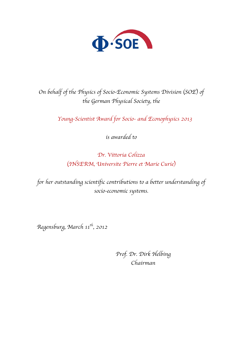

*On behalf of the Physics of Socio-Economic Systems Division* (*SOE*) *of the German Physical Society, the*

*Young-Scientist Award for Socio- and Econophysics 2013*

*is awarded to*

*Dr. Vittoria Colizza* (*INSERM, Universite Pierre et Marie Curie*)

*for her outstanding scientific contributions to a better understanding of socio-economic systems.*

*Regensburg, March 11th, 2012*

*Prof. Dr. Dirk Helbing Chairman*